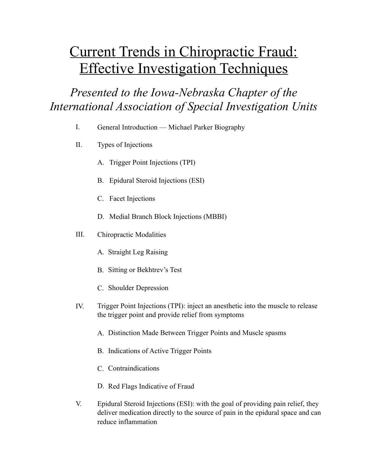## Current Trends in Chiropractic Fraud: Effective Investigation Techniques

*Presented to the Iowa-Nebraska Chapter of the International Association of Special Investigation Units* 

- I. General Introduction –– Michael Parker Biography
- II. Types of Injections
	- A. Trigger Point Injections (TPI)
	- B. Epidural Steroid Injections (ESI)
	- C. Facet Injections
	- D. Medial Branch Block Injections (MBBI)
- III. Chiropractic Modalities
	- A. Straight Leg Raising
	- B. Sitting or Bekhtrev's Test
	- C. Shoulder Depression
- IV. Trigger Point Injections (TPI): inject an anesthetic into the muscle to release the trigger point and provide relief from symptoms
	- A. Distinction Made Between Trigger Points and Muscle spasms
	- B. Indications of Active Trigger Points
	- C. Contraindications
	- D. Red Flags Indicative of Fraud
- V. Epidural Steroid Injections (ESI): with the goal of providing pain relief, they deliver medication directly to the source of pain in the epidural space and can reduce inflammation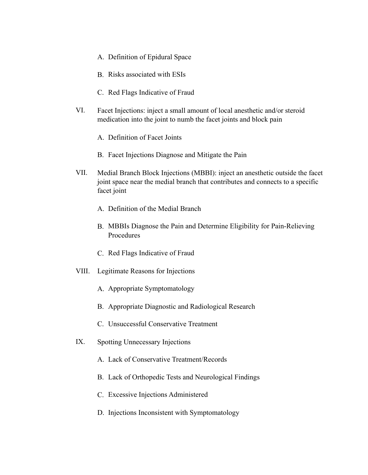- A. Definition of Epidural Space
- B. Risks associated with ESIs
- C. Red Flags Indicative of Fraud
- VI. Facet Injections: inject a small amount of local anesthetic and/or steroid medication into the joint to numb the facet joints and block pain
	- A. Definition of Facet Joints
	- B. Facet Injections Diagnose and Mitigate the Pain
- VII. Medial Branch Block Injections (MBBI): inject an anesthetic outside the facet joint space near the medial branch that contributes and connects to a specific facet joint
	- A. Definition of the Medial Branch
	- B. MBBIs Diagnose the Pain and Determine Eligibility for Pain-Relieving Procedures
	- C. Red Flags Indicative of Fraud
- VIII. Legitimate Reasons for Injections
	- A. Appropriate Symptomatology
	- B. Appropriate Diagnostic and Radiological Research
	- C. Unsuccessful Conservative Treatment
- IX. Spotting Unnecessary Injections
	- A. Lack of Conservative Treatment/Records
	- B. Lack of Orthopedic Tests and Neurological Findings
	- C. Excessive Injections Administered
	- D. Injections Inconsistent with Symptomatology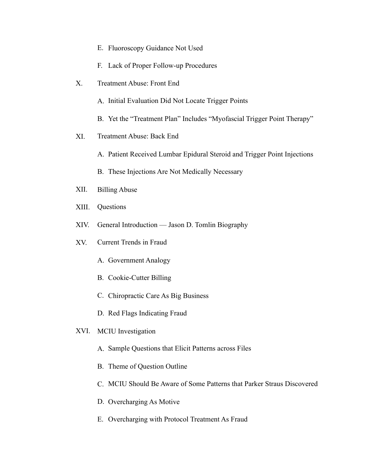- E. Fluoroscopy Guidance Not Used
- F. Lack of Proper Follow-up Procedures
- X. Treatment Abuse: Front End
	- A. Initial Evaluation Did Not Locate Trigger Points
	- B. Yet the "Treatment Plan" Includes "Myofascial Trigger Point Therapy"
- XI. Treatment Abuse: Back End
	- A. Patient Received Lumbar Epidural Steroid and Trigger Point Injections
	- B. These Injections Are Not Medically Necessary
- XII. Billing Abuse
- XIII. Questions
- XIV. General Introduction –– Jason D. Tomlin Biography
- XV. Current Trends in Fraud
	- A. Government Analogy
	- B. Cookie-Cutter Billing
	- C. Chiropractic Care As Big Business
	- D. Red Flags Indicating Fraud
- XVI. MCIU Investigation
	- A. Sample Questions that Elicit Patterns across Files
	- B. Theme of Question Outline
	- C. MCIU Should Be Aware of Some Patterns that Parker Straus Discovered
	- D. Overcharging As Motive
	- E. Overcharging with Protocol Treatment As Fraud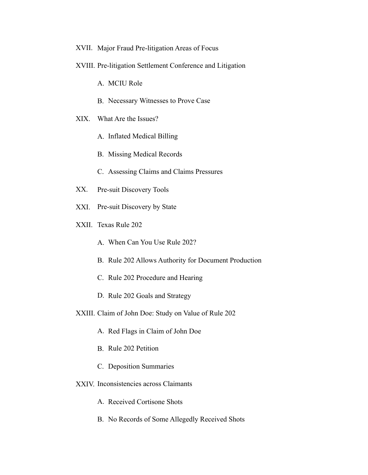- XVII. Major Fraud Pre-litigation Areas of Focus
- XVIII. Pre-litigation Settlement Conference and Litigation
	- A. MCIU Role
	- B. Necessary Witnesses to Prove Case
- XIX. What Are the Issues?
	- A. Inflated Medical Billing
	- B. Missing Medical Records
	- C. Assessing Claims and Claims Pressures
- XX. Pre-suit Discovery Tools
- XXI. Pre-suit Discovery by State
- XXII. Texas Rule 202
	- A. When Can You Use Rule 202?
	- B. Rule 202 Allows Authority for Document Production
	- C. Rule 202 Procedure and Hearing
	- D. Rule 202 Goals and Strategy
- XXIII. Claim of John Doe: Study on Value of Rule 202
	- A. Red Flags in Claim of John Doe
	- B. Rule 202 Petition
	- C. Deposition Summaries
- XXIV. Inconsistencies across Claimants
	- A. Received Cortisone Shots
	- B. No Records of Some Allegedly Received Shots